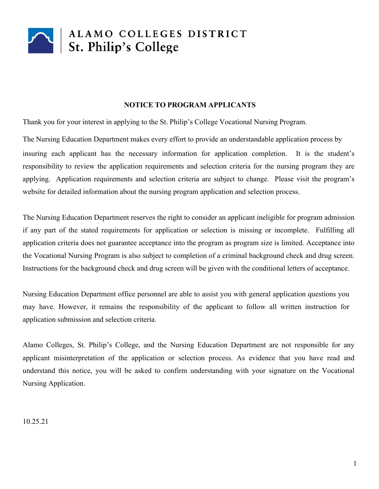

#### **NOTICE TO PROGRAM APPLICANTS**

Thank you for your interest in applying to the St. Philip's College Vocational Nursing Program.

The Nursing Education Department makes every effort to provide an understandable application process by insuring each applicant has the necessary information for application completion. It is the student's responsibility to review the application requirements and selection criteria for the nursing program they are applying. Application requirements and selection criteria are subject to change. Please visit the program's website for detailed information about the nursing program application and selection process.

The Nursing Education Department reserves the right to consider an applicant ineligible for program admission if any part of the stated requirements for application or selection is missing or incomplete. Fulfilling all application criteria does not guarantee acceptance into the program as program size is limited. Acceptance into the Vocational Nursing Program is also subject to completion of a criminal background check and drug screen. Instructions for the background check and drug screen will be given with the conditional letters of acceptance.

Nursing Education Department office personnel are able to assist you with general application questions you may have. However, it remains the responsibility of the applicant to follow all written instruction for application submission and selection criteria.

Alamo Colleges, St. Philip's College, and the Nursing Education Department are not responsible for any applicant misinterpretation of the application or selection process. As evidence that you have read and understand this notice, you will be asked to confirm understanding with your signature on the Vocational Nursing Application.

#### 10.25.21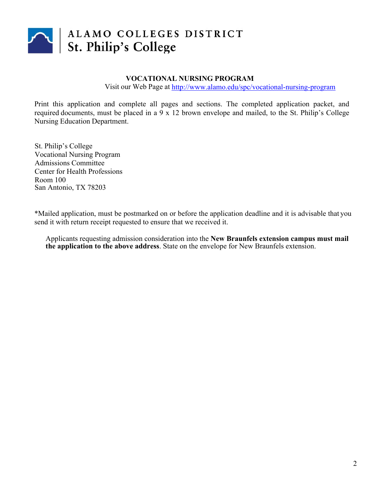

# ALAMO COLLEGES DISTRICT<br>St. Philip's College

### **VOCATIONAL NURSING PROGRAM**

Visit our Web Page at http://www.alamo.edu/spc/vocational-nursing-program

Print this application and complete all pages and sections. The completed application packet, and required documents, must be placed in a 9 x 12 brown envelope and mailed, to the St. Philip's College Nursing Education Department.

St. Philip's College Vocational Nursing Program Admissions Committee Center for Health Professions Room 100 San Antonio, TX 78203

\*Mailed application, must be postmarked on or before the application deadline and it is advisable that you send it with return receipt requested to ensure that we received it.

Applicants requesting admission consideration into the **New Braunfels extension campus must mail the application to the above address**. State on the envelope for New Braunfels extension.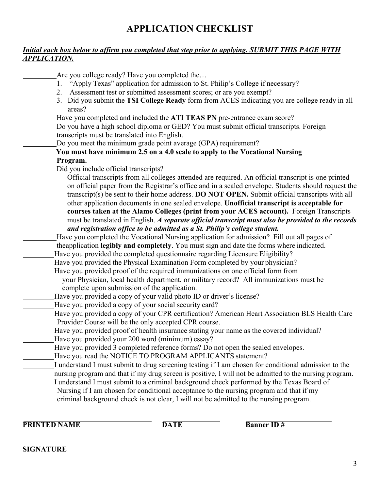## **APPLICATION CHECKLIST**

### *Initial each box below to affirm you completed that step prior to applying. SUBMIT THIS PAGE WITH APPLICATION.*

Are you college ready? Have you completed the… 1. "Apply Texas" application for admission to St. Philip's College if necessary? 2. Assessment test or submitted assessment scores; or are you exempt? 3. Did you submit the **TSI College Ready** form from ACES indicating you are college ready in all areas? Have you completed and included the **ATI TEAS PN** pre-entrance exam score? Do you have a high school diploma or GED? You must submit official transcripts. Foreign transcripts must be translated into English. Do you meet the minimum grade point average (GPA) requirement? **You must have minimum 2.5 on a 4.0 scale to apply to the Vocational Nursing Program.** Did you include official transcripts? Official transcripts from all colleges attended are required. An official transcript is one printed on official paper from the Registrar's office and in a sealed envelope. Students should request the transcript(s) be sent to their home address. **DO NOT OPEN.** Submit official transcripts with all other application documents in one sealed envelope. **Unofficial transcript is acceptable for courses taken at the Alamo Colleges (print from your ACES account).** Foreign Transcripts must be translated in English. *A separate official transcript must also be provided to the records and registration office to be admitted as a St. Philip's college student.* Have you completed the Vocational Nursing application for admission? Fill out all pages of theapplication **legibly and completely**. You must sign and date the forms where indicated. Have you provided the completed questionnaire regarding Licensure Eligibility? Have you provided the Physical Examination Form completed by your physician? Have you provided proof of the required immunizations on one official form from your Physician, local health department, or military record? All immunizations must be complete upon submission of the application. Have you provided a copy of your valid photo ID or driver's license? Have you provided a copy of your social security card? Have you provided a copy of your CPR certification? American Heart Association BLS Health Care Provider Course will be the only accepted CPR course. Have you provided proof of health insurance stating your name as the covered individual? Have you provided your 200 word (minimum) essay? Have you provided 3 completed reference forms? Do not open the sealed envelopes. Have you read the NOTICE TO PROGRAM APPLICANTS statement? I understand I must submit to drug screening testing if I am chosen for conditional admission to the nursing program and that if my drug screen is positive, I will not be admitted to the nursing program. I understand I must submit to a criminal background check performed by the Texas Board of Nursing if I am chosen for conditional acceptance to the nursing program and that if my criminal background check is not clear, I will not be admitted to the nursing program.

**PRINTED NAME DATE DATE Banner ID** #

**SIGNATURE**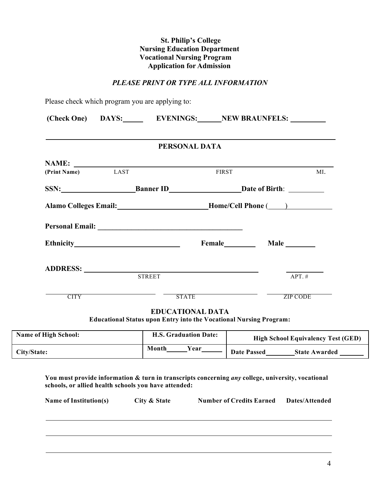#### **St. Philip's College Nursing Education Department Vocational Nursing Program Application for Admission**

#### *PLEASE PRINT OR TYPE ALL INFORMATION*

Please check which program you are applying to:

|                   |                                                                        | PERSONAL DATA |             |
|-------------------|------------------------------------------------------------------------|---------------|-------------|
|                   |                                                                        |               |             |
| (Print Name) LAST |                                                                        | <b>FIRST</b>  | MI.         |
|                   | SSN: Banner ID Date of Birth:                                          |               |             |
|                   |                                                                        |               |             |
|                   | Alamo Colleges Email: __________________________Home/Cell Phone (____) |               |             |
|                   |                                                                        |               |             |
|                   |                                                                        |               |             |
|                   |                                                                        |               | Female Male |
|                   |                                                                        |               |             |
|                   | <b>STREET</b>                                                          |               | $APT. \#$   |

| <b>Name of High School:</b> | <b>H.S. Graduation Date:</b> | <b>High School Equivalency Test (GED)</b>  |  |
|-----------------------------|------------------------------|--------------------------------------------|--|
| City/State:                 | Year<br>Month                | <b>Date Passed</b><br><b>State Awarded</b> |  |

**You must provide information & turn in transcripts concerning** *any* **college, university, vocational schools, or allied health schools you have attended:**

| <b>Name of Institution(s)</b> | City & State | <b>Number of Credits Earned</b> | Dates/Attended |
|-------------------------------|--------------|---------------------------------|----------------|
|                               |              |                                 |                |
|                               |              |                                 |                |
|                               |              |                                 |                |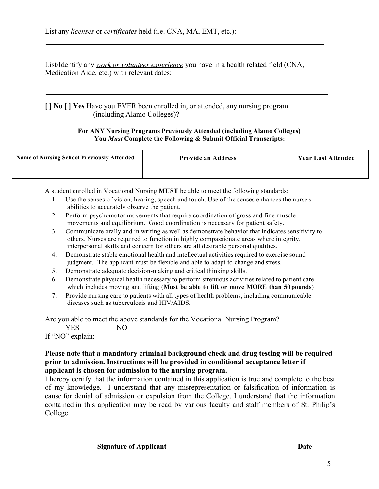List/Identify any *work or volunteer experience* you have in a health related field (CNA, Medication Aide, etc.) with relevant dates:

**[ ] No [ ] Yes** Have you EVER been enrolled in, or attended, any nursing program (including Alamo Colleges)?

#### **For ANY Nursing Programs Previously Attended (including Alamo Colleges) You** *Must* **Complete the Following & Submit Official Transcripts:**

| <b>Name of Nursing School Previously Attended</b> | <b>Provide an Address</b> | <b>Year Last Attended</b> |
|---------------------------------------------------|---------------------------|---------------------------|
|                                                   |                           |                           |

A student enrolled in Vocational Nursing **MUST** be able to meet the following standards:

- 1. Use the senses of vision, hearing, speech and touch. Use of the senses enhances the nurse's abilities to accurately observe the patient.
- 2. Perform psychomotor movements that require coordination of gross and fine muscle movements and equilibrium. Good coordination is necessary for patient safety.
- 3. Communicate orally and in writing as well as demonstrate behavior that indicates sensitivity to others. Nurses are required to function in highly compassionate areas where integrity, interpersonal skills and concern for others are all desirable personal qualities.
- 4. Demonstrate stable emotional health and intellectual activities required to exercise sound judgment. The applicant must be flexible and able to adapt to change and stress.
- 5. Demonstrate adequate decision-making and critical thinking skills.
- 6. Demonstrate physical health necessary to perform strenuous activities related to patient care which includes moving and lifting (**Must be able to lift or move MORE than 50pounds**)
- 7. Provide nursing care to patients with all types of health problems, including communicable diseases such as tuberculosis and HIV/AIDS.

Are you able to meet the above standards for the Vocational Nursing Program?

YES NO If "NO" explain:

### **Please note that a mandatory criminal background check and drug testing will be required prior to admission. Instructions will be provided in conditional acceptance letter if applicant is chosen for admission to the nursing program.**

I hereby certify that the information contained in this application is true and complete to the best of my knowledge. I understand that any misrepresentation or falsification of information is cause for denial of admission or expulsion from the College. I understand that the information contained in this application may be read by various faculty and staff members of St. Philip's College.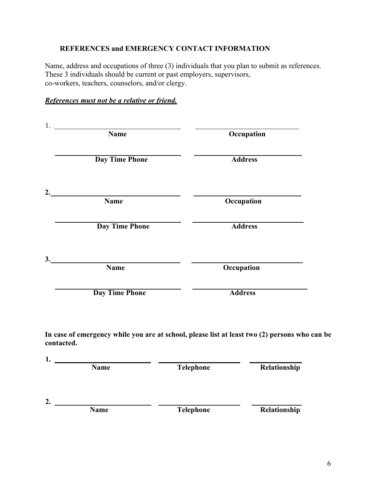### **REFERENCES and EMERGENCY CONTACT INFORMATION**

Name, address and occupations of three (3) individuals that you plan to submit as references. These 3 individuals should be current or past employers, supervisors, co-workers, teachers, counselors, and/or clergy.

| References must not be a relative or friend. |  |  |  |  |  |  |  |  |
|----------------------------------------------|--|--|--|--|--|--|--|--|
|----------------------------------------------|--|--|--|--|--|--|--|--|

| Occupation                                                                                    |
|-----------------------------------------------------------------------------------------------|
|                                                                                               |
| <b>Address</b>                                                                                |
|                                                                                               |
| Occupation                                                                                    |
| <b>Address</b>                                                                                |
|                                                                                               |
| Occupation                                                                                    |
| <b>Address</b>                                                                                |
| In case of emergency while you are at school, please list at least two (2) persons who can be |
| Telephone<br>Relationship                                                                     |
|                                                                                               |

| <b>Name</b> | <b>Telephone</b> | Relationship     |
|-------------|------------------|------------------|
|             |                  | Relationship     |
|             | <b>Name</b>      | <b>Telephone</b> |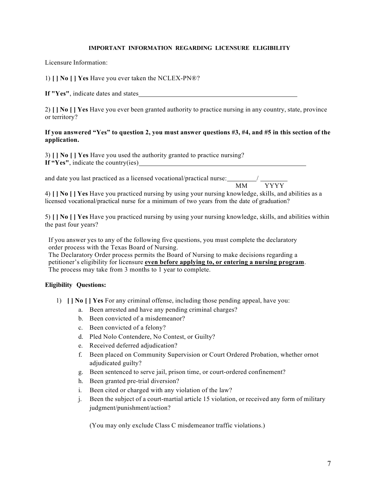#### **IMPORTANT INFORMATION REGARDING LICENSURE ELIGIBILITY**

Licensure Information:

1) **[ ] No [ ] Yes** Have you ever taken the NCLEX-PN®?

**If "Yes"**, indicate dates and states

2) **[ ] No [ ] Yes** Have you ever been granted authority to practice nursing in any country, state, province or territory?

#### If you answered "Yes" to question 2, you must answer questions #3, #4, and #5 in this section of the **application.**

3) **[ ] No [ ] Yes** Have you used the authority granted to practice nursing? **If "Yes"**, indicate the country(ies)

and date you last practiced as a licensed vocational/practical nurse: MM

**YYYY** 

4) **[ ] No [ ] Yes** Have you practiced nursing by using your nursing knowledge, skills, and abilities as a licensed vocational/practical nurse for a minimum of two years from the date of graduation?

5) **[ ] No [ ] Yes** Have you practiced nursing by using your nursing knowledge, skills, and abilities within the past four years?

If you answer yes to any of the following five questions, you must complete the declaratory order process with the Texas Board of Nursing.

The Declaratory Order process permits the Board of Nursing to make decisions regarding a petitioner's eligibility for licensure **even before applying to, or entering a nursing program**. The process may take from 3 months to 1 year to complete.

#### **Eligibility Questions:**

- 1) **[ ] No [ ] Yes** For any criminal offense, including those pending appeal, have you:
	- a. Been arrested and have any pending criminal charges?
	- b. Been convicted of a misdemeanor?
	- c. Been convicted of a felony?
	- d. Pled Nolo Contendere, No Contest, or Guilty?
	- e. Received deferred adjudication?
	- f. Been placed on Community Supervision or Court Ordered Probation, whether ornot adjudicated guilty?
	- g. Been sentenced to serve jail, prison time, or court-ordered confinement?
	- h. Been granted pre-trial diversion?
	- i. Been cited or charged with any violation of the law?
	- j. Been the subject of a court-martial article 15 violation, or received any form of military judgment/punishment/action?

(You may only exclude Class C misdemeanor traffic violations.)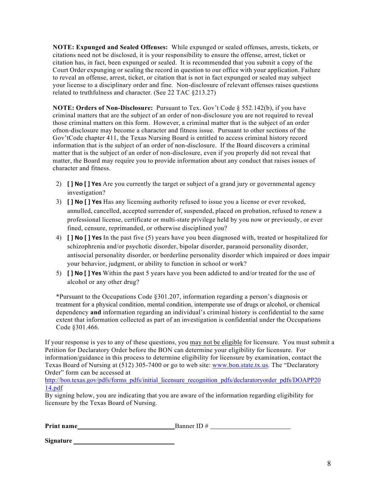**NOTE: Expunged and Sealed Offenses:** While expunged or sealed offenses, arrests, tickets, or citations need not be disclosed, it is your responsibility to ensure the offense, arrest, ticket or citation has, in fact, been expunged or sealed. It is recommended that you submit a copy of the Court Order expunging or sealing the record in question to our office with your application. Failure to reveal an offense, arrest, ticket, or citation that is not in fact expunged or sealed may subject your license to a disciplinary order and fine. Non-disclosure of relevant offenses raises questions related to truthfulness and character. (See 22 TAC §213.27)

**NOTE: Orders of Non-Disclosure:** Pursuant to Tex. Gov't Code § 552.142(b), if you have criminal matters that are the subject of an order of non-disclosure you are not required to reveal those criminal matters on this form. However, a criminal matter that is the subject of an order ofnon-disclosure may become a character and fitness issue. Pursuant to other sections of the Gov'tCode chapter 411, the Texas Nursing Board is entitled to access criminal history record information that is the subject of an order of non-disclosure. If the Board discovers a criminal matter that is the subject of an order of non-disclosure, even if you properly did not reveal that matter, the Board may require you to provide information about any conduct that raises issues of character and fitness.

- 2) **[ ] No [ ] Yes** Are you currently the target or subject of a grand jury or governmental agency investigation?
- 3) **[ ] No [ ] Yes** Has any licensing authority refused to issue you a license or ever revoked, annulled, cancelled, accepted surrender of, suspended, placed on probation, refused to renew a professional license, certificate or multi-state privilege held by you now or previously, or ever fined, censure, reprimanded, or otherwise disciplined you?
- 4) **[ ] No [ ] Yes** In the past five (5) years have you been diagnosed with, treated or hospitalized for schizophrenia and/or psychotic disorder, bipolar disorder, paranoid personality disorder, antisocial personality disorder, or borderline personality disorder which impaired or does impair your behavior, judgment, or ability to function in school or work?
- 5) **[ ] No [ ] Yes** Within the past 5 years have you been addicted to and/or treated for the use of alcohol or any other drug?

\*Pursuant to the Occupations Code §301.207, information regarding a person's diagnosis or treatment for a physical condition, mental condition, intemperate use of drugs or alcohol, or chemical dependency **and** information regarding an individual's criminal history is confidential to the same extent that information collected as part of an investigation is confidential under the Occupations Code §301.466.

If your response is yes to any of these questions, you may not be eligible for licensure. You must submit a Petition for Declaratory Order before the BON can determine your eligibility for licensure. For information/guidance in this process to determine eligibility for licensure by examination, contact the Texas Board of Nursing at (512) 305-7400 or go to web site: www.bon.state.tx.us. The "Declaratory Order" form can be accessed at

http://bon.texas.gov/pdfs/forms\_pdfs/initial\_licensure\_recognition\_pdfs/declaratoryorder\_pdfs/DOAPP20 14.pdf

By signing below, you are indicating that you are aware of the information regarding eligibility for licensure by the Texas Board of Nursing.

| Print name | Banner II)# |
|------------|-------------|
|            |             |

**Signature**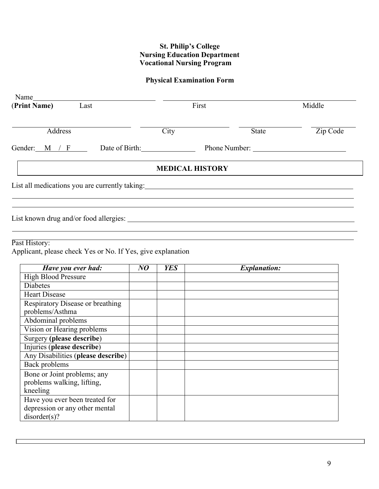### **St. Philip's College Nursing Education Department Vocational Nursing Program**

### **Physical Examination Form**

| Name<br>(Print Name) Last                                                                                                                                                                                                      | First                  |              | Middle   |  |
|--------------------------------------------------------------------------------------------------------------------------------------------------------------------------------------------------------------------------------|------------------------|--------------|----------|--|
| Address                                                                                                                                                                                                                        | City                   | <b>State</b> | Zip Code |  |
| Gender: $M / F$                                                                                                                                                                                                                | Date of Birth:         |              |          |  |
|                                                                                                                                                                                                                                | <b>MEDICAL HISTORY</b> |              |          |  |
| List all medications you are currently taking: University of the state of the state of the state of the state of the state of the state of the state of the state of the state of the state of the state of the state of the s |                        |              |          |  |
|                                                                                                                                                                                                                                |                        |              |          |  |
| Past History:                                                                                                                                                                                                                  |                        |              |          |  |
| Applicant, please check Yes or No. If Yes, give explanation                                                                                                                                                                    |                        |              |          |  |

| Have you ever had:                 | NO | <b>YES</b> | <b>Explanation:</b> |
|------------------------------------|----|------------|---------------------|
| <b>High Blood Pressure</b>         |    |            |                     |
| <b>Diabetes</b>                    |    |            |                     |
| <b>Heart Disease</b>               |    |            |                     |
| Respiratory Disease or breathing   |    |            |                     |
| problems/Asthma                    |    |            |                     |
| Abdominal problems                 |    |            |                     |
| Vision or Hearing problems         |    |            |                     |
| Surgery (please describe)          |    |            |                     |
| Injuries (please describe)         |    |            |                     |
| Any Disabilities (please describe) |    |            |                     |
| Back problems                      |    |            |                     |
| Bone or Joint problems; any        |    |            |                     |
| problems walking, lifting,         |    |            |                     |
| kneeling                           |    |            |                     |
| Have you ever been treated for     |    |            |                     |
| depression or any other mental     |    |            |                     |
| disorder(s)?                       |    |            |                     |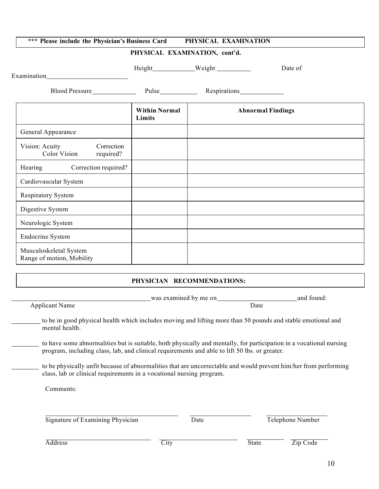| *** Please include the Physician's Business Card          |                                | PHYSICAL EXAMINATION                                                                                                                                                                                                           |                          |
|-----------------------------------------------------------|--------------------------------|--------------------------------------------------------------------------------------------------------------------------------------------------------------------------------------------------------------------------------|--------------------------|
|                                                           |                                | PHYSICAL EXAMINATION, cont'd.                                                                                                                                                                                                  |                          |
|                                                           |                                | Height Weight Weight                                                                                                                                                                                                           | Date of                  |
|                                                           |                                |                                                                                                                                                                                                                                |                          |
|                                                           |                                | Blood Pressure Nulse Multipunk Pulse Nulse Nulse Nulse Nulse Nulse Nulse Nulse Nulse Nulse Nulse Nulse Nulse Nulse Nulse Nulse Nulse Nulse Nulse Nulse Nulse Nulse Nulse Nulse Nulse Nulse Nulse Nulse Nulse Nulse Nulse Nulse |                          |
|                                                           | <b>Within Normal</b><br>Limits |                                                                                                                                                                                                                                | <b>Abnormal Findings</b> |
| General Appearance                                        |                                |                                                                                                                                                                                                                                |                          |
| Vision: Acuity<br>Correction<br>Color Vision<br>required? |                                |                                                                                                                                                                                                                                |                          |
| Correction required?<br>Hearing                           |                                |                                                                                                                                                                                                                                |                          |
| Cardiovascular System                                     |                                |                                                                                                                                                                                                                                |                          |
| Respiratory System                                        |                                |                                                                                                                                                                                                                                |                          |
| Digestive System                                          |                                |                                                                                                                                                                                                                                |                          |
| Neurologic System                                         |                                |                                                                                                                                                                                                                                |                          |
| <b>Endocrine System</b>                                   |                                |                                                                                                                                                                                                                                |                          |
| Musculoskeletal System<br>Range of motion, Mobility       |                                |                                                                                                                                                                                                                                |                          |
|                                                           |                                | PHYSICIAN RECOMMENDATIONS:                                                                                                                                                                                                     |                          |

| was examined by me on                                                                                                                                                                                                | and found:                                                           |
|----------------------------------------------------------------------------------------------------------------------------------------------------------------------------------------------------------------------|----------------------------------------------------------------------|
|                                                                                                                                                                                                                      | Date                                                                 |
| to be in good physical health which includes moving and lifting more than 50 pounds and stable emotional and                                                                                                         |                                                                      |
| to have some abnormalities but is suitable, both physically and mentally, for participation in a vocational nursing<br>program, including class, lab, and clinical requirements and able to lift 50 lbs. or greater. |                                                                      |
| to be physically unfit because of abnormalities that are uncorrectable and would prevent him/her from performing                                                                                                     |                                                                      |
|                                                                                                                                                                                                                      |                                                                      |
| Signature of Examining Physician                                                                                                                                                                                     |                                                                      |
|                                                                                                                                                                                                                      | class, lab or clinical requirements in a vocational nursing program. |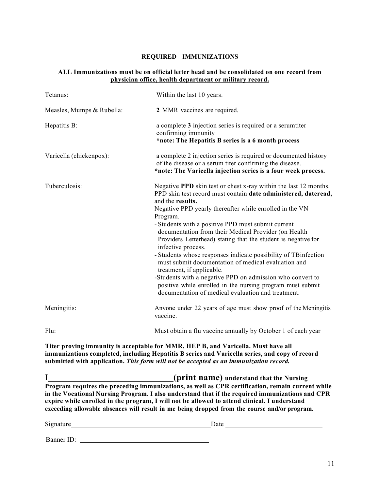#### **REQUIRED IMMUNIZATIONS**

#### **ALL Immunizations must be on official letter head and be consolidated on one record from physician office, health department or military record.**

| Tetanus:                  | Within the last 10 years.                                                                                                                                                                                                                                                                                                                                                                                                                                                                                                                                                                                                                                                                                                                                                   |  |  |  |
|---------------------------|-----------------------------------------------------------------------------------------------------------------------------------------------------------------------------------------------------------------------------------------------------------------------------------------------------------------------------------------------------------------------------------------------------------------------------------------------------------------------------------------------------------------------------------------------------------------------------------------------------------------------------------------------------------------------------------------------------------------------------------------------------------------------------|--|--|--|
| Measles, Mumps & Rubella: | 2 MMR vaccines are required.                                                                                                                                                                                                                                                                                                                                                                                                                                                                                                                                                                                                                                                                                                                                                |  |  |  |
| Hepatitis B:              | a complete 3 injection series is required or a serumtiter<br>confirming immunity<br>*note: The Hepatitis B series is a 6 month process                                                                                                                                                                                                                                                                                                                                                                                                                                                                                                                                                                                                                                      |  |  |  |
| Varicella (chickenpox):   | a complete 2 injection series is required or documented history<br>of the disease or a serum titer confirming the disease.<br>*note: The Varicella injection series is a four week process.                                                                                                                                                                                                                                                                                                                                                                                                                                                                                                                                                                                 |  |  |  |
| Tuberculosis:             | Negative PPD skin test or chest x-ray within the last 12 months.<br>PPD skin test record must contain date administered, dateread,<br>and the results.<br>Negative PPD yearly thereafter while enrolled in the VN<br>Program.<br>- Students with a positive PPD must submit current<br>documentation from their Medical Provider (on Health<br>Providers Letterhead) stating that the student is negative for<br>infective process.<br>- Students whose responses indicate possibility of TB infection<br>must submit documentation of medical evaluation and<br>treatment, if applicable.<br>-Students with a negative PPD on admission who convert to<br>positive while enrolled in the nursing program must submit<br>documentation of medical evaluation and treatment. |  |  |  |
| Meningitis:               | Anyone under 22 years of age must show proof of the Meningitis<br>vaccine.                                                                                                                                                                                                                                                                                                                                                                                                                                                                                                                                                                                                                                                                                                  |  |  |  |
| Flu:                      | Must obtain a flu vaccine annually by October 1 of each year                                                                                                                                                                                                                                                                                                                                                                                                                                                                                                                                                                                                                                                                                                                |  |  |  |

**Titer proving immunity is acceptable for MMR, HEP B, and Varicella. Must have all immunizations completed, including Hepatitis B series and Varicella series, and copy of record submitted with application.** *This form will not be accepted as an immunization record.*

I **(print name) understand that the Nursing Program requires the preceding immunizations, as well as CPR certification, remain current while in the Vocational Nursing Program. I also understand that if the required immunizations and CPR expire while enrolled in the program, I will not be allowed to attend clinical. I understand exceeding allowable absences will result in me being dropped from the course and/or program.**

| Sign<br>яшт | $-$<br>Date |
|-------------|-------------|
|             |             |

Banner ID: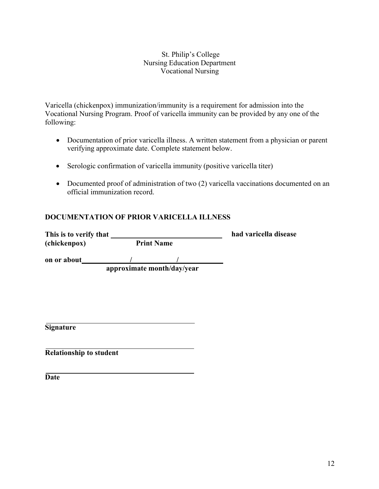#### St. Philip's College Nursing Education Department Vocational Nursing

Varicella (chickenpox) immunization/immunity is a requirement for admission into the Vocational Nursing Program. Proof of varicella immunity can be provided by any one of the following:

- Documentation of prior varicella illness. A written statement from a physician or parent verifying approximate date. Complete statement below.
- Serologic confirmation of varicella immunity (positive varicella titer)
- Documented proof of administration of two (2) varicella vaccinations documented on an official immunization record.

### **DOCUMENTATION OF PRIOR VARICELLA ILLNESS**

| This is to verify that |                   | had varicella disease |
|------------------------|-------------------|-----------------------|
| (chickenpox)           | <b>Print Name</b> |                       |

**on or about / / approximate month/day/year**

**Signature**

**Relationship to student**

**Date**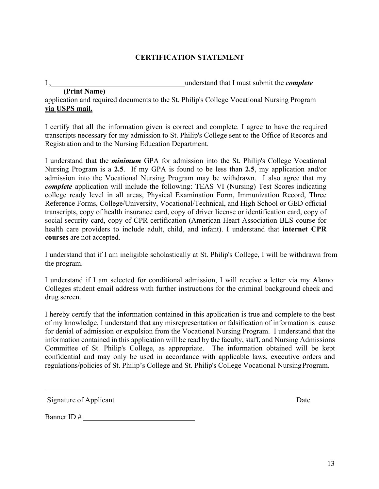### **CERTIFICATION STATEMENT**

I , understand that I must submit the *complete*

 **(Print Name)** application and required documents to the St. Philip's College Vocational Nursing Program **via USPS mail.**

I certify that all the information given is correct and complete. I agree to have the required transcripts necessary for my admission to St. Philip's College sent to the Office of Records and Registration and to the Nursing Education Department.

I understand that the *minimum* GPA for admission into the St. Philip's College Vocational Nursing Program is a **2.5**. If my GPA is found to be less than **2.5**, my application and/or admission into the Vocational Nursing Program may be withdrawn. I also agree that my *complete* application will include the following: TEAS VI (Nursing) Test Scores indicating college ready level in all areas, Physical Examination Form, Immunization Record, Three Reference Forms, College/University, Vocational/Technical, and High School or GED official transcripts, copy of health insurance card, copy of driver license or identification card, copy of social security card, copy of CPR certification (American Heart Association BLS course for health care providers to include adult, child, and infant). I understand that **internet CPR courses** are not accepted.

I understand that if I am ineligible scholastically at St. Philip's College, I will be withdrawn from the program.

I understand if I am selected for conditional admission, I will receive a letter via my Alamo Colleges student email address with further instructions for the criminal background check and drug screen.

I hereby certify that the information contained in this application is true and complete to the best of my knowledge. I understand that any misrepresentation or falsification of information is cause for denial of admission or expulsion from the Vocational Nursing Program. I understand that the information contained in this application will be read by the faculty, staff, and Nursing Admissions Committee of St. Philip's College, as appropriate. The information obtained will be kept confidential and may only be used in accordance with applicable laws, executive orders and regulations/policies of St. Philip's College and St. Philip's College Vocational NursingProgram.

Signature of Applicant Date

Banner ID #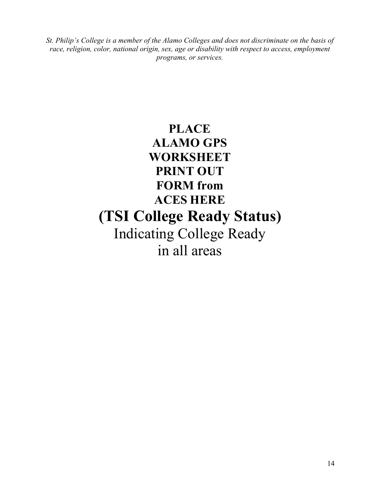*St. Philip's College is a member of the Alamo Colleges and does not discriminate on the basis of race, religion, color, national origin, sex, age or disability with respect to access, employment programs, or services.*

# **PLACE ALAMO GPS WORKSHEET PRINT OUT FORM from ACES HERE (TSI College Ready Status)** Indicating College Ready in all areas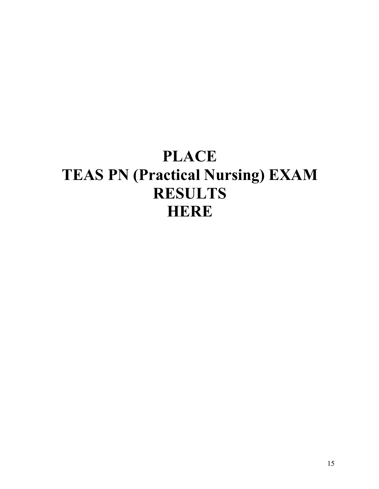# **PLACE TEAS PN (Practical Nursing) EXAM RESULTS HERE**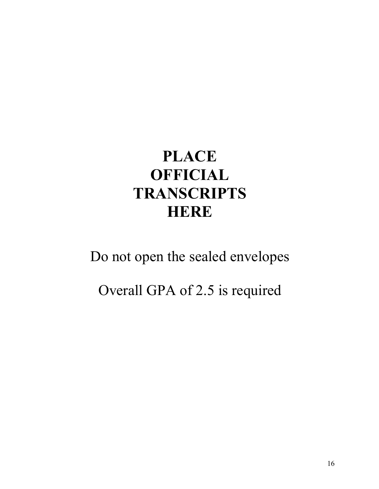# **PLACE OFFICIAL TRANSCRIPTS HERE**

# Do not open the sealed envelopes

# Overall GPA of 2.5 is required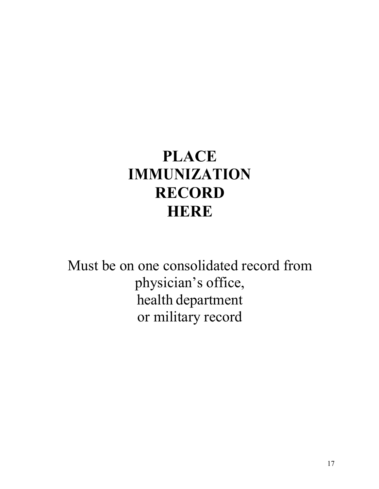# **PLACE IMMUNIZATION RECORD HERE**

Must be on one consolidated record from physician's office, health department or military record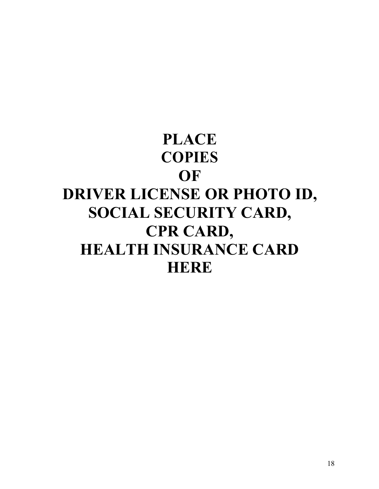# **PLACE COPIES OF DRIVER LICENSE OR PHOTO ID, SOCIAL SECURITY CARD, CPR CARD, HEALTH INSURANCE CARD HERE**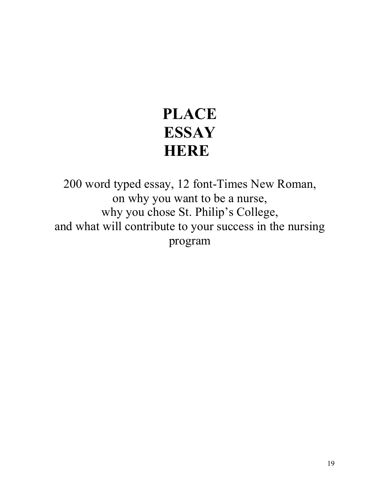# **PLACE ESSAY HERE**

200 word typed essay, 12 font-Times New Roman, on why you want to be a nurse, why you chose St. Philip's College, and what will contribute to your success in the nursing program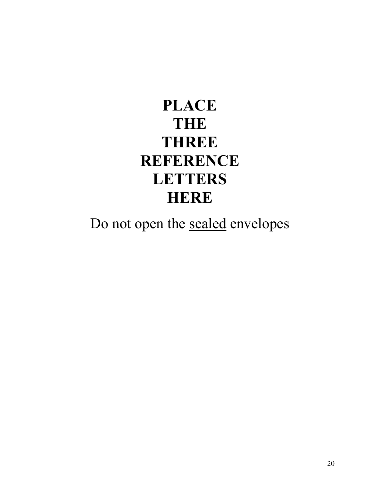# **PLACE THE THREE REFERENCE LETTERS HERE**

Do not open the sealed envelopes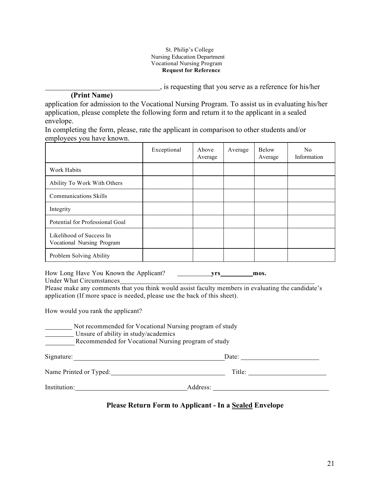#### St. Philip's College Nursing Education Department Vocational Nursing Program **Request for Reference**

, is requesting that you serve as a reference for his/her

### **(Print Name)**

application for admission to the Vocational Nursing Program. To assist us in evaluating his/her application, please complete the following form and return it to the applicant in a sealed envelope.

In completing the form, please, rate the applicant in comparison to other students and/or employees you have known.

|                                                        | Exceptional | Above<br>Average | Average | Below<br>Average | N <sub>0</sub><br>Information |
|--------------------------------------------------------|-------------|------------------|---------|------------------|-------------------------------|
| Work Habits                                            |             |                  |         |                  |                               |
| Ability To Work With Others                            |             |                  |         |                  |                               |
| Communications Skills                                  |             |                  |         |                  |                               |
| Integrity                                              |             |                  |         |                  |                               |
| Potential for Professional Goal                        |             |                  |         |                  |                               |
| Likelihood of Success In<br>Vocational Nursing Program |             |                  |         |                  |                               |
| Problem Solving Ability                                |             |                  |         |                  |                               |

How Long Have You Known the Applicant? **yrs mos.** Under What Circumstances

Please make any comments that you think would assist faculty members in evaluating the candidate's application (If more space is needed, please use the back of this sheet).

How would you rank the applicant?

| Not recommended for Vocational Nursing program of study<br>Unsure of ability in study/academics<br>Recommended for Vocational Nursing program of study |          |  |  |  |  |  |
|--------------------------------------------------------------------------------------------------------------------------------------------------------|----------|--|--|--|--|--|
| Signature:                                                                                                                                             | Date:    |  |  |  |  |  |
| Name Printed or Typed:                                                                                                                                 | Title:   |  |  |  |  |  |
| Institution:                                                                                                                                           | Address: |  |  |  |  |  |

### **Please Return Form to Applicant - In a Sealed Envelope**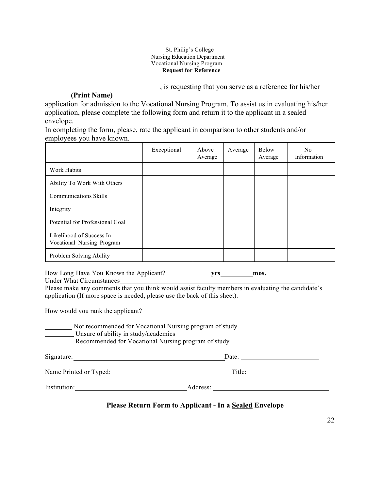#### St. Philip's College Nursing Education Department Vocational Nursing Program **Request for Reference**

, is requesting that you serve as a reference for his/her

### **(Print Name)**

application for admission to the Vocational Nursing Program. To assist us in evaluating his/her application, please complete the following form and return it to the applicant in a sealed envelope.

In completing the form, please, rate the applicant in comparison to other students and/or employees you have known.

|                                                        | Exceptional | Above<br>Average | Average | Below<br>Average | No.<br>Information |
|--------------------------------------------------------|-------------|------------------|---------|------------------|--------------------|
| Work Habits                                            |             |                  |         |                  |                    |
| Ability To Work With Others                            |             |                  |         |                  |                    |
| <b>Communications Skills</b>                           |             |                  |         |                  |                    |
| Integrity                                              |             |                  |         |                  |                    |
| Potential for Professional Goal                        |             |                  |         |                  |                    |
| Likelihood of Success In<br>Vocational Nursing Program |             |                  |         |                  |                    |
| Problem Solving Ability                                |             |                  |         |                  |                    |

How Long Have You Known the Applicant? **yrs mos.** Under What Circumstances

Please make any comments that you think would assist faculty members in evaluating the candidate's application (If more space is needed, please use the back of this sheet).

How would you rank the applicant?

| Not recommended for Vocational Nursing program of study<br>Unsure of ability in study/academics<br>Recommended for Vocational Nursing program of study |        |  |  |  |  |
|--------------------------------------------------------------------------------------------------------------------------------------------------------|--------|--|--|--|--|
| Signature:                                                                                                                                             | Date:  |  |  |  |  |
| Name Printed or Typed:                                                                                                                                 | Title: |  |  |  |  |

Institution: Address:

**Please Return Form to Applicant - In a Sealed Envelope**